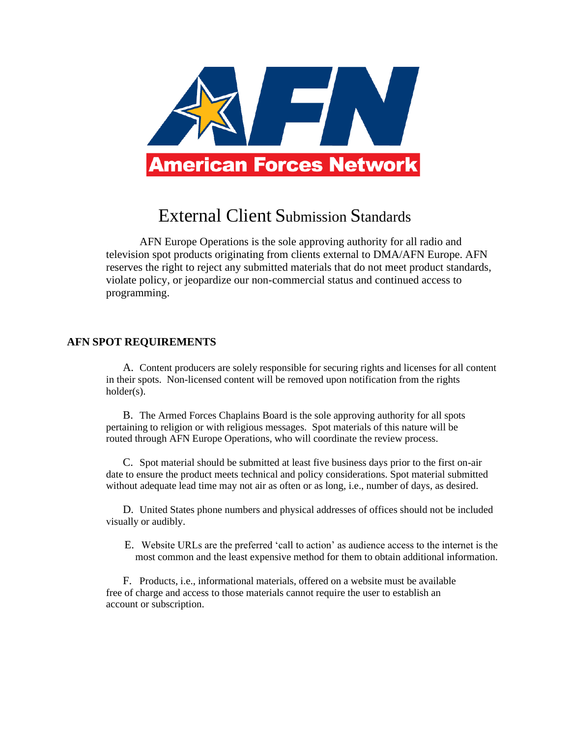

## External Client Submission Standards

AFN Europe Operations is the sole approving authority for all radio and television spot products originating from clients external to DMA/AFN Europe. AFN reserves the right to reject any submitted materials that do not meet product standards, violate policy, or jeopardize our non-commercial status and continued access to programming.

## **AFN SPOT REQUIREMENTS**

A. Content producers are solely responsible for securing rights and licenses for all content in their spots. Non-licensed content will be removed upon notification from the rights holder(s).

B. The Armed Forces Chaplains Board is the sole approving authority for all spots pertaining to religion or with religious messages. Spot materials of this nature will be routed through AFN Europe Operations, who will coordinate the review process.

C. Spot material should be submitted at least five business days prior to the first on-air date to ensure the product meets technical and policy considerations. Spot material submitted without adequate lead time may not air as often or as long, i.e., number of days, as desired.

D. United States phone numbers and physical addresses of offices should not be included visually or audibly.

E. Website URLs are the preferred 'call to action' as audience access to the internet is the most common and the least expensive method for them to obtain additional information.

F. Products, i.e., informational materials, offered on a website must be available free of charge and access to those materials cannot require the user to establish an account or subscription.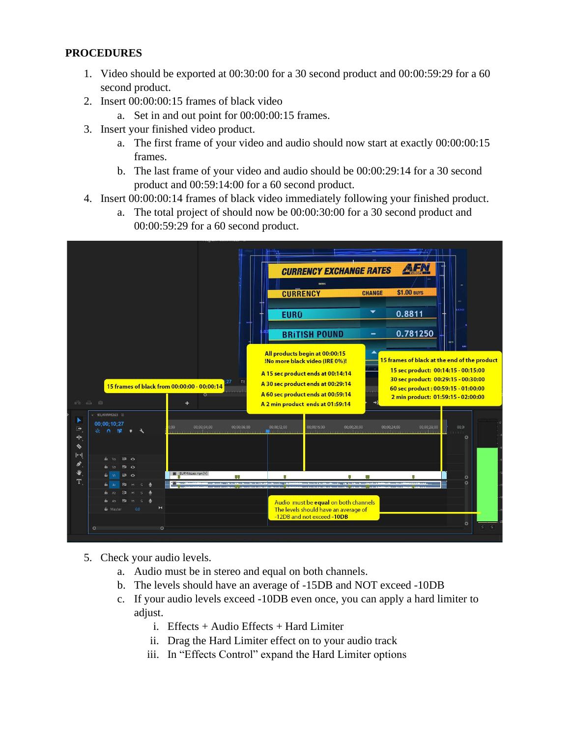## **PROCEDURES**

- 1. Video should be exported at 00:30:00 for a 30 second product and 00:00:59:29 for a 60 second product.
- 2. Insert 00:00:00:15 frames of black video
	- a. Set in and out point for 00:00:00:15 frames.
- 3. Insert your finished video product.
	- a. The first frame of your video and audio should now start at exactly 00:00:00:15 frames.
	- b. The last frame of your video and audio should be 00:00:29:14 for a 30 second product and 00:59:14:00 for a 60 second product.
- 4. Insert 00:00:00:14 frames of black video immediately following your finished product.
	- a. The total project of should now be 00:00:30:00 for a 30 second product and 00:00:59:29 for a 60 second product.



- 5. Check your audio levels.
	- a. Audio must be in stereo and equal on both channels.
	- b. The levels should have an average of -15DB and NOT exceed -10DB
	- c. If your audio levels exceed -10DB even once, you can apply a hard limiter to adjust.
		- i. Effects  $+$  Audio Effects  $+$  Hard Limiter
		- ii. Drag the Hard Limiter effect on to your audio track
		- iii. In "Effects Control" expand the Hard Limiter options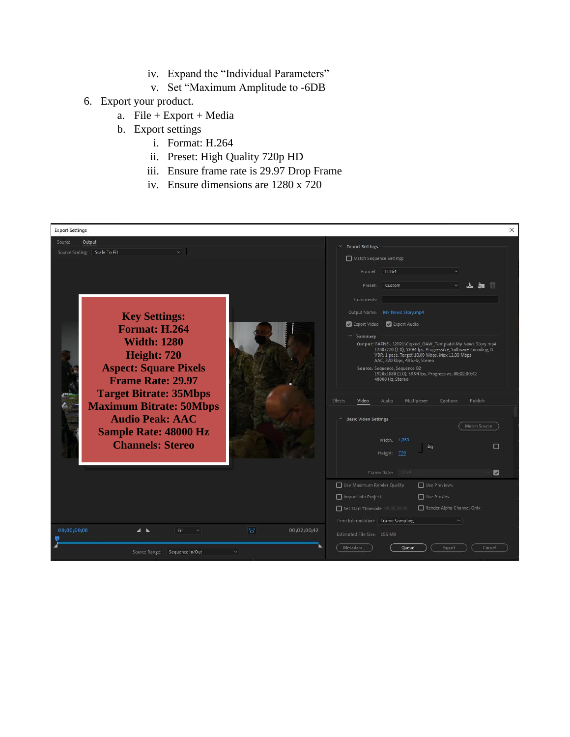- iv. Expand the "Individual Parameters"
- v. Set "Maximum Amplitude to -6DB
- 6. Export your product.
	- a. File + Export + Media
	- b. Export settings
		- i. Format: H.264
		- ii. Preset: High Quality 720p HD
		- iii. Ensure frame rate is 29.97 Drop Frame
		- iv. Ensure dimensions are 1280 x 720